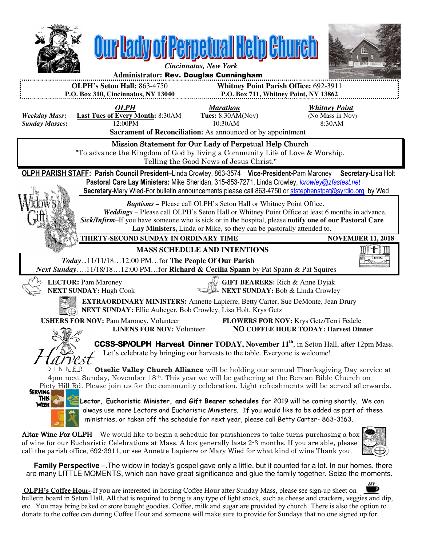

 **Family Perspective** –.The widow in today's gospel gave only a little, but it counted for a lot. In our homes, there are many LITTLE MOMENTS, which can have great significance and glue the family together. Seize the moments.

 OLPH's Coffee Hour--If you are interested in hosting Coffee Hour after Sunday Mass, please see sign-up sheet on bulletin board in Seton Hall. All that is required to bring is any type of light snack, such as cheese and crackers, veggies and dip, etc. You may bring baked or store bought goodies. Coffee, milk and sugar are provided by church. There is also the option to donate to the coffee can during Coffee Hour and someone will make sure to provide for Sundays that no one signed up for.